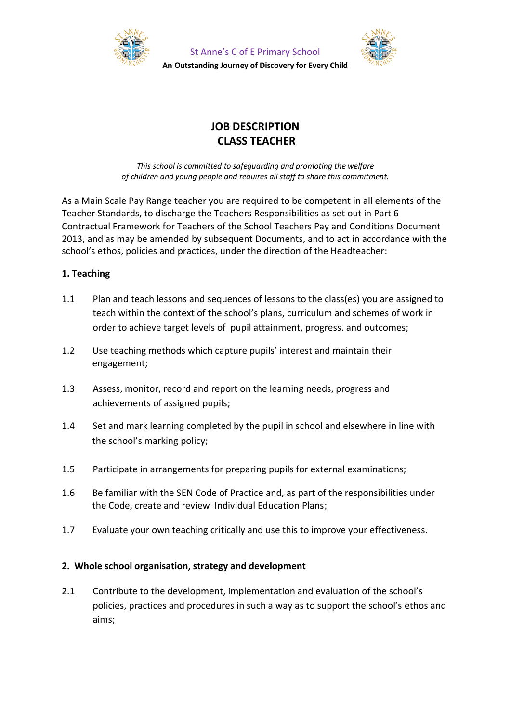

St Anne's C of E Primary School **An Outstanding Journey of Discovery for Every Child**



# **JOB DESCRIPTION CLASS TEACHER**

*This school is committed to safeguarding and promoting the welfare of children and young people and requires all staff to share this commitment.*

As a Main Scale Pay Range teacher you are required to be competent in all elements of the Teacher Standards, to discharge the Teachers Responsibilities as set out in Part 6 Contractual Framework for Teachers of the School Teachers Pay and Conditions Document 2013, and as may be amended by subsequent Documents, and to act in accordance with the school's ethos, policies and practices, under the direction of the Headteacher:

# **1. Teaching**

- 1.1 Plan and teach lessons and sequences of lessons to the class(es) you are assigned to teach within the context of the school's plans, curriculum and schemes of work in order to achieve target levels of pupil attainment, progress. and outcomes;
- 1.2 Use teaching methods which capture pupils' interest and maintain their engagement;
- 1.3 Assess, monitor, record and report on the learning needs, progress and achievements of assigned pupils;
- 1.4 Set and mark learning completed by the pupil in school and elsewhere in line with the school's marking policy;
- 1.5 Participate in arrangements for preparing pupils for external examinations;
- 1.6 Be familiar with the SEN Code of Practice and, as part of the responsibilities under the Code, create and review Individual Education Plans;
- 1.7 Evaluate your own teaching critically and use this to improve your effectiveness.

# **2. Whole school organisation, strategy and development**

2.1 Contribute to the development, implementation and evaluation of the school's policies, practices and procedures in such a way as to support the school's ethos and aims;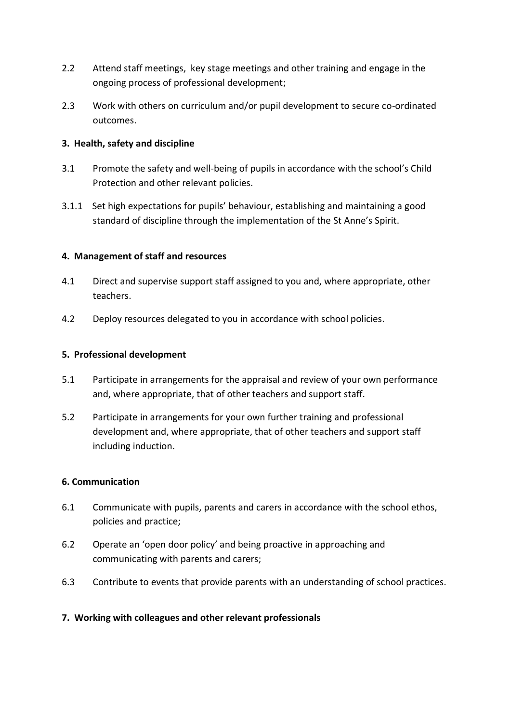- 2.2 Attend staff meetings, key stage meetings and other training and engage in the ongoing process of professional development;
- 2.3 Work with others on curriculum and/or pupil development to secure co-ordinated outcomes.

# **3. Health, safety and discipline**

- 3.1 Promote the safety and well-being of pupils in accordance with the school's Child Protection and other relevant policies.
- 3.1.1 Set high expectations for pupils' behaviour, establishing and maintaining a good standard of discipline through the implementation of the St Anne's Spirit.

## **4. Management of staff and resources**

- 4.1 Direct and supervise support staff assigned to you and, where appropriate, other teachers.
- 4.2 Deploy resources delegated to you in accordance with school policies.

## **5. Professional development**

- 5.1 Participate in arrangements for the appraisal and review of your own performance and, where appropriate, that of other teachers and support staff.
- 5.2 Participate in arrangements for your own further training and professional development and, where appropriate, that of other teachers and support staff including induction.

## **6. Communication**

- 6.1 Communicate with pupils, parents and carers in accordance with the school ethos, policies and practice;
- 6.2 Operate an 'open door policy' and being proactive in approaching and communicating with parents and carers;
- 6.3 Contribute to events that provide parents with an understanding of school practices.

# **7. Working with colleagues and other relevant professionals**